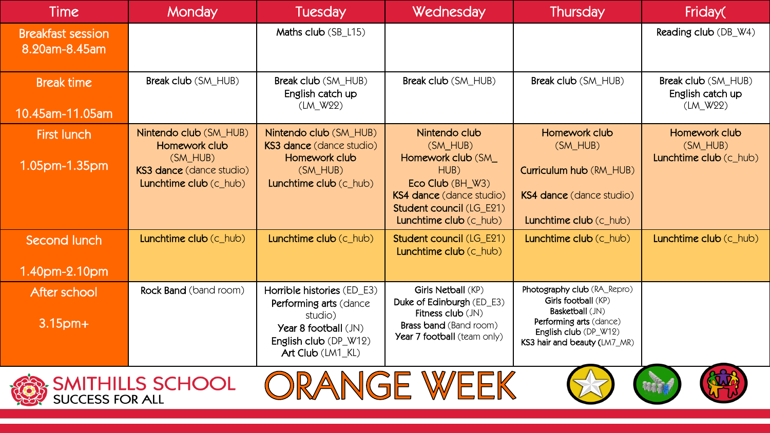| <b>Time</b>                                               | <b>Monday</b>                                                                                               | <b>Tuesday</b>                                                                                                                               | Wednesday                                                                                                                                                           | Thursday                                                                                                                                                  | Friday(                                             |  |  |
|-----------------------------------------------------------|-------------------------------------------------------------------------------------------------------------|----------------------------------------------------------------------------------------------------------------------------------------------|---------------------------------------------------------------------------------------------------------------------------------------------------------------------|-----------------------------------------------------------------------------------------------------------------------------------------------------------|-----------------------------------------------------|--|--|
| <b>Breakfast session</b><br>8.20am-8.45am                 |                                                                                                             | Maths club (SB_L15)                                                                                                                          |                                                                                                                                                                     |                                                                                                                                                           | Reading club (DB_W4)                                |  |  |
| <b>Break time</b><br>10.45am-11.05am                      | Break club (SM_HUB)                                                                                         | Break club (SM_HUB)<br>English catch up<br>(LM_W22)                                                                                          | Break club (SM_HUB)                                                                                                                                                 | Break club (SM_HUB)                                                                                                                                       | Break club (SM_HUB)<br>English catch up<br>(LM_W22) |  |  |
| <b>First lunch</b><br>1.05pm-1.35pm                       | Nintendo club (SM_HUB)<br>Homework club<br>$(SM_HUB)$<br>KS3 dance (dance studio)<br>Lunchtime club (c_hub) | Nintendo club (SM_HUB)<br><b>KS3 dance (dance studio)</b><br>Homework club<br>(SM_HUB)<br>Lunchtime club (c_hub)                             | Nintendo club<br>(SM_HUB)<br>Homework club (SM<br>HUB)<br>Eco Club (BH_W3)<br><b>KS4 dance (dance studio)</b><br>Student council (LG_E21)<br>Lunchtime club (c_hub) | Homework club<br>(SM_HUB)<br>Curriculum hub (RM_HUB)<br><b>KS4 dance (dance studio)</b><br>Lunchtime club (c hub)                                         | Homework club<br>(SM_HUB)<br>Lunchtime club (c_hub) |  |  |
| Second lunch<br>1.40pm-2.10pm                             | Lunchtime club (c_hub)                                                                                      | Lunchtime club (c_hub)                                                                                                                       | Student council (LG_E21)<br>Lunchtime club (c_hub)                                                                                                                  | Lunchtime club (c_hub)                                                                                                                                    | Lunchtime club (c_hub)                              |  |  |
| After school<br>$3.15$ pm+                                | <b>Rock Band</b> (band room)                                                                                | Horrible histories (ED E3)<br>Performing arts (dance<br>studio)<br><b>Year 8 football (JN)</b><br>English club (DP_W12)<br>Art Club (LM1_KL) | Girls Netball (KP)<br>Duke of Edinburgh (ED_E3)<br>Fitness club (JN)<br><b>Brass band (Band room)</b><br>Year 7 football (team only)                                | Photography club (RA_Repro)<br>Girls football (KP)<br>Basketball (JN)<br>Performing arts (dance)<br>English club (DP_W12)<br>KS3 hair and beauty (LM7_MR) |                                                     |  |  |
| ORANGE WEEK<br><b>SMITHILLS SCHOOL</b><br>success for all |                                                                                                             |                                                                                                                                              |                                                                                                                                                                     |                                                                                                                                                           |                                                     |  |  |